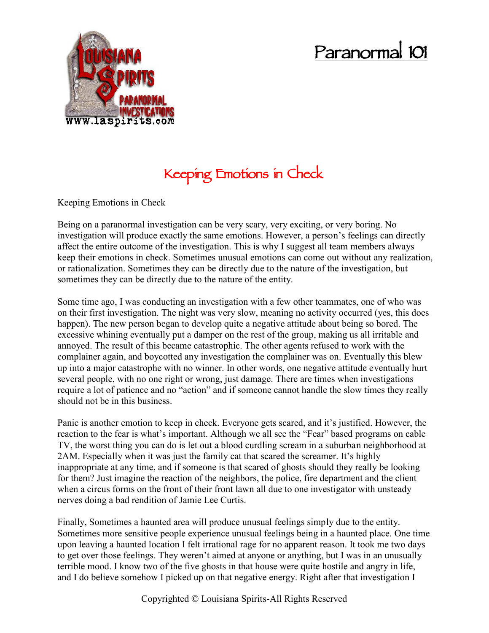## **Paranormal 101**



## **Keeping Emotions in Check**

Keeping Emotions in Check

Being on a paranormal investigation can be very scary, very exciting, or very boring. No investigation will produce exactly the same emotions. However, a person's feelings can directly affect the entire outcome of the investigation. This is why I suggest all team members always keep their emotions in check. Sometimes unusual emotions can come out without any realization, or rationalization. Sometimes they can be directly due to the nature of the investigation, but sometimes they can be directly due to the nature of the entity.

Some time ago, I was conducting an investigation with a few other teammates, one of who was on their first investigation. The night was very slow, meaning no activity occurred (yes, this does happen). The new person began to develop quite a negative attitude about being so bored. The excessive whining eventually put a damper on the rest of the group, making us all irritable and annoyed. The result of this became catastrophic. The other agents refused to work with the complainer again, and boycotted any investigation the complainer was on. Eventually this blew up into a major catastrophe with no winner. In other words, one negative attitude eventually hurt several people, with no one right or wrong, just damage. There are times when investigations require a lot of patience and no "action" and if someone cannot handle the slow times they really should not be in this business.

Panic is another emotion to keep in check. Everyone gets scared, and it's justified. However, the reaction to the fear is what's important. Although we all see the "Fear" based programs on cable TV, the worst thing you can do is let out a blood curdling scream in a suburban neighborhood at 2AM. Especially when it was just the family cat that scared the screamer. It's highly inappropriate at any time, and if someone is that scared of ghosts should they really be looking for them? Just imagine the reaction of the neighbors, the police, fire department and the client when a circus forms on the front of their front lawn all due to one investigator with unsteady nerves doing a bad rendition of Jamie Lee Curtis.

Finally, Sometimes a haunted area will produce unusual feelings simply due to the entity. Sometimes more sensitive people experience unusual feelings being in a haunted place. One time upon leaving a haunted location I felt irrational rage for no apparent reason. It took me two days to get over those feelings. They weren't aimed at anyone or anything, but I was in an unusually terrible mood. I know two of the five ghosts in that house were quite hostile and angry in life, and I do believe somehow I picked up on that negative energy. Right after that investigation I